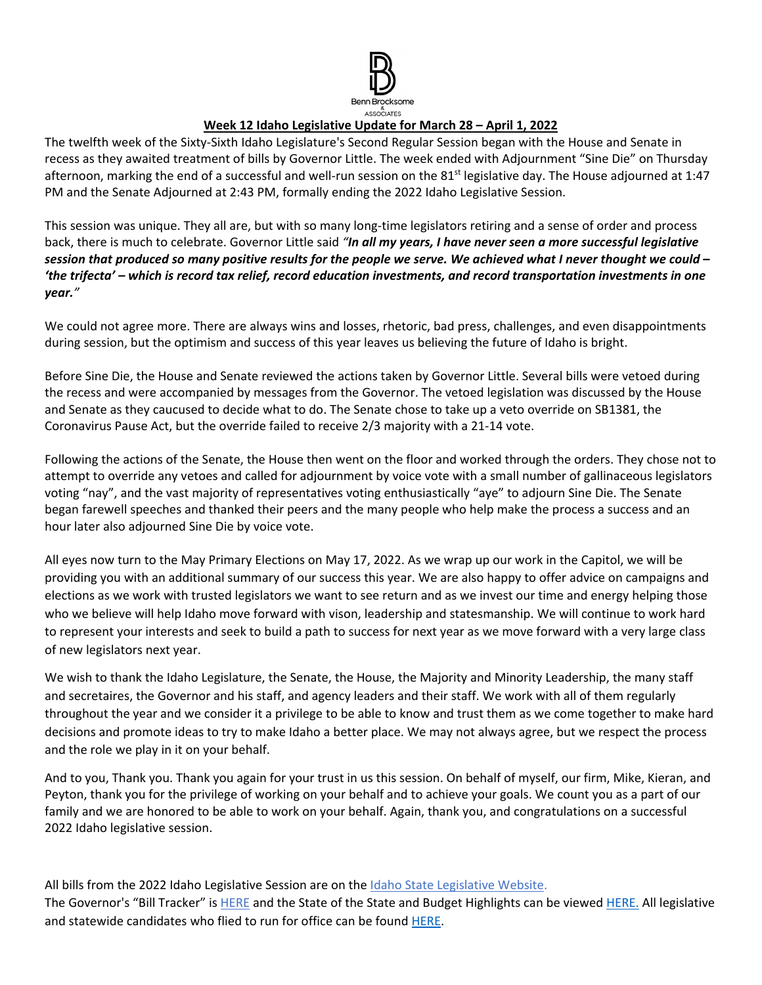

# **Week 12 Idaho Legislative Update for March 28 – April 1, 2022**

The twelfth week of the Sixty-Sixth Idaho Legislature's Second Regular Session began with the House and Senate in recess as they awaited treatment of bills by Governor Little. The week ended with Adjournment "Sine Die" on Thursday afternoon, marking the end of a successful and well-run session on the 81<sup>st</sup> legislative day. The House adjourned at 1:47 PM and the Senate Adjourned at 2:43 PM, formally ending the 2022 Idaho Legislative Session.

This session was unique. They all are, but with so many long-time legislators retiring and a sense of order and process back, there is much to celebrate. Governor Little said *"In all my years, I have never seen a more successful legislative session that produced so many positive results for the people we serve. We achieved what I never thought we could – 'the trifecta' – which is record tax relief, record education investments, and record transportation investments in one year."* 

We could not agree more. There are always wins and losses, rhetoric, bad press, challenges, and even disappointments during session, but the optimism and success of this year leaves us believing the future of Idaho is bright.

Before Sine Die, the House and Senate reviewed the actions taken by Governor Little. Several bills were vetoed during the recess and were accompanied by messages from the Governor. The vetoed legislation was discussed by the House and Senate as they caucused to decide what to do. The Senate chose to take up a veto override on SB1381, the Coronavirus Pause Act, but the override failed to receive 2/3 majority with a 21-14 vote.

Following the actions of the Senate, the House then went on the floor and worked through the orders. They chose not to attempt to override any vetoes and called for adjournment by voice vote with a small number of gallinaceous legislators voting "nay", and the vast majority of representatives voting enthusiastically "aye" to adjourn Sine Die. The Senate began farewell speeches and thanked their peers and the many people who help make the process a success and an hour later also adjourned Sine Die by voice vote.

All eyes now turn to the May Primary Elections on May 17, 2022. As we wrap up our work in the Capitol, we will be providing you with an additional summary of our success this year. We are also happy to offer advice on campaigns and elections as we work with trusted legislators we want to see return and as we invest our time and energy helping those who we believe will help Idaho move forward with vison, leadership and statesmanship. We will continue to work hard to represent your interests and seek to build a path to success for next year as we move forward with a very large class of new legislators next year.

We wish to thank the Idaho Legislature, the Senate, the House, the Majority and Minority Leadership, the many staff and secretaires, the Governor and his staff, and agency leaders and their staff. We work with all of them regularly throughout the year and we consider it a privilege to be able to know and trust them as we come together to make hard decisions and promote ideas to try to make Idaho a better place. We may not always agree, but we respect the process and the role we play in it on your behalf.

And to you, Thank you. Thank you again for your trust in us this session. On behalf of myself, our firm, Mike, Kieran, and Peyton, thank you for the privilege of working on your behalf and to achieve your goals. We count you as a part of our family and we are honored to be able to work on your behalf. Again, thank you, and congratulations on a successful 2022 Idaho legislative session.

All bills from the 2022 Idaho Legislative Session are on th[e Idaho State Legislative Website.](https://legislature.idaho.gov/sessioninfo/) The Governor's "Bill Tracker" is [HERE](https://gov.idaho.gov/legislative-sessions/2022-legislative-session/) and the State of the State and Budget Highlights can be viewed [HERE.](https://gov.idaho.gov/pressrelease/gov-little-highlights-plan-for-education-investments-tax-relief-in-2022-state-of-the-state-and-budget-address/) All legislative and statewide candidates who flied to run for office can be found [HERE.](https://sos.idaho.gov/)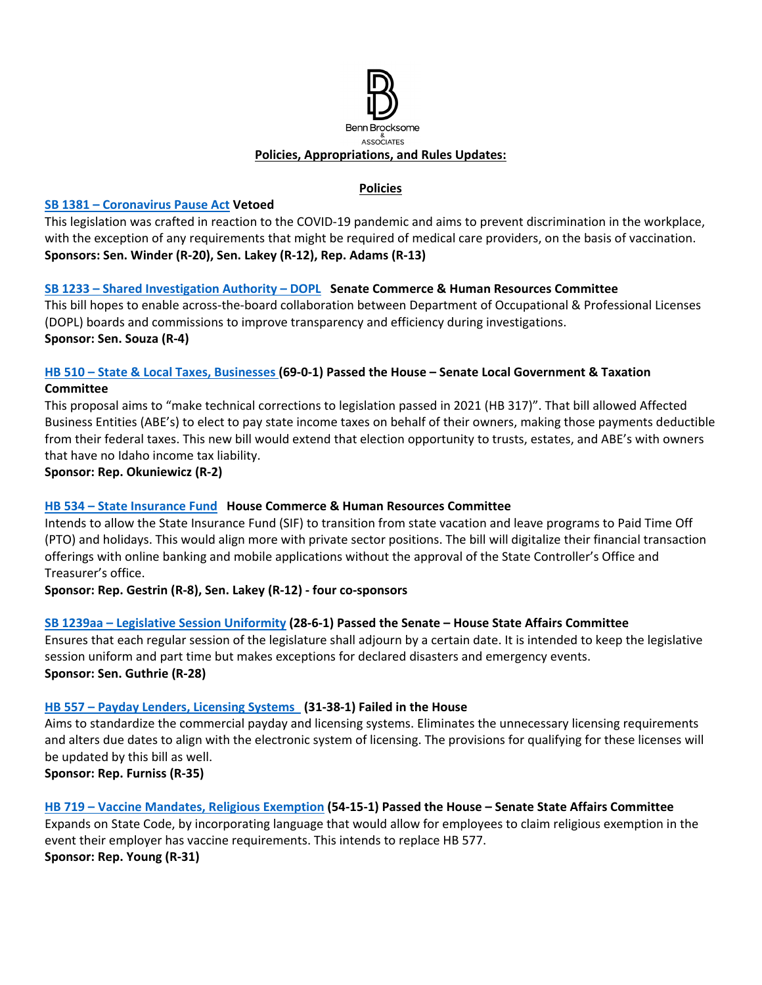

#### **Policies**

#### **[SB 1381 – Coronavirus Pause Act](https://legislature.idaho.gov/sessioninfo/2022/legislation/S1381) Vetoed**

This legislation was crafted in reaction to the COVID-19 pandemic and aims to prevent discrimination in the workplace, with the exception of any requirements that might be required of medical care providers, on the basis of vaccination. **Sponsors: Sen. Winder (R-20), Sen. Lakey (R-12), Rep. Adams (R-13)**

## **[SB 1233 – Shared Investigation Authority – DOPL](https://legislature.idaho.gov/sessioninfo/2022/legislation/S1233/) Senate Commerce & Human Resources Committee**

This bill hopes to enable across-the-board collaboration between Department of Occupational & Professional Licenses (DOPL) boards and commissions to improve transparency and efficiency during investigations. **Sponsor: Sen. Souza (R-4)** 

## **[HB 510 – State & Local Taxes, Businesses](https://legislature.idaho.gov/sessioninfo/2022/legislation/H0510/) (69-0-1) Passed the House – Senate Local Government & Taxation Committee**

This proposal aims to "make technical corrections to legislation passed in 2021 (HB 317)". That bill allowed Affected Business Entities (ABE's) to elect to pay state income taxes on behalf of their owners, making those payments deductible from their federal taxes. This new bill would extend that election opportunity to trusts, estates, and ABE's with owners that have no Idaho income tax liability.

**Sponsor: Rep. Okuniewicz (R-2)**

# **[HB 534 – State Insurance Fund](https://legislature.idaho.gov/sessioninfo/2022/legislation/H0534/) House Commerce & Human Resources Committee**

Intends to allow the State Insurance Fund (SIF) to transition from state vacation and leave programs to Paid Time Off (PTO) and holidays. This would align more with private sector positions. The bill will digitalize their financial transaction offerings with online banking and mobile applications without the approval of the State Controller's Office and Treasurer's office.

**Sponsor: Rep. Gestrin (R-8), Sen. Lakey (R-12) - four co-sponsors**

# **[SB 1239aa – Legislative Session Uniformity](https://legislature.idaho.gov/sessioninfo/2022/legislation/S1239/) (28-6-1) Passed the Senate – House State Affairs Committee**

Ensures that each regular session of the legislature shall adjourn by a certain date. It is intended to keep the legislative session uniform and part time but makes exceptions for declared disasters and emergency events. **Sponsor: Sen. Guthrie (R-28)**

#### **[HB 557 – Payday Lenders, Licensing Systems](https://legislature.idaho.gov/sessioninfo/2022/legislation/H0557) (31-38-1) Failed in the House**

Aims to standardize the commercial payday and licensing systems. Eliminates the unnecessary licensing requirements and alters due dates to align with the electronic system of licensing. The provisions for qualifying for these licenses will be updated by this bill as well.

**Sponsor: Rep. Furniss (R-35)**

# **[HB 719 – Vaccine Mandates, Religious Exemption](https://legislature.idaho.gov/sessioninfo/2022/legislation/H0719/) (54-15-1) Passed the House – Senate State Affairs Committee**

Expands on State Code, by incorporating language that would allow for employees to claim religious exemption in the event their employer has vaccine requirements. This intends to replace HB 577. **Sponsor: Rep. Young (R-31)**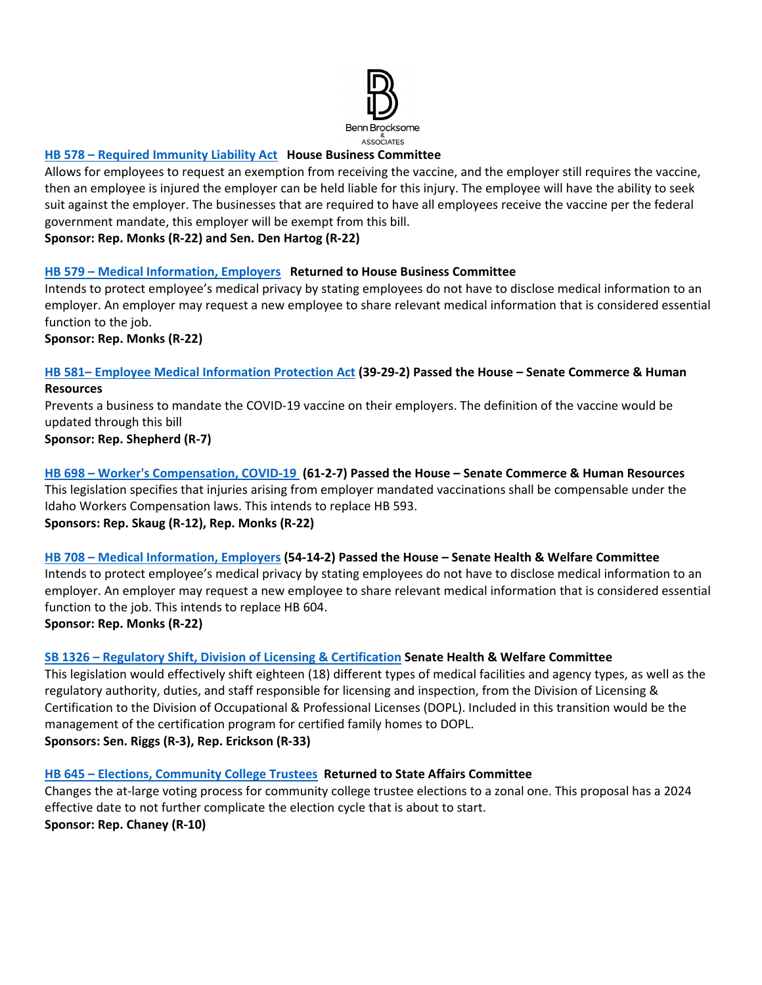

## **HB 578 [– Required Immunity Liability Act](https://legislature.idaho.gov/sessioninfo/2022/legislation/H0578) House Business Committee**

Allows for employees to request an exemption from receiving the vaccine, and the employer still requires the vaccine, then an employee is injured the employer can be held liable for this injury. The employee will have the ability to seek suit against the employer. The businesses that are required to have all employees receive the vaccine per the federal government mandate, this employer will be exempt from this bill.

**Sponsor: Rep. Monks (R-22) and Sen. Den Hartog (R-22)**

#### **HB 579 [– Medical Information, Employers](https://legislature.idaho.gov/sessioninfo/2022/legislation/H0579/) Returned to House Business Committee**

Intends to protect employee's medical privacy by stating employees do not have to disclose medical information to an employer. An employer may request a new employee to share relevant medical information that is considered essential function to the job.

**Sponsor: Rep. Monks (R-22)**

#### **HB 581– Employee [Medical Information Protection Act](https://legislature.idaho.gov/sessioninfo/2022/legislation/H0581) (39-29-2) Passed the House – Senate Commerce & Human Resources**

Prevents a business to mandate the COVID-19 vaccine on their employers. The definition of the vaccine would be updated through this bill

**Sponsor: Rep. Shepherd (R-7)**

**[HB 698 – Worker's Compensation, COVID-19](https://legislature.idaho.gov/sessioninfo/2022/legislation/H0698/) (61-2-7) Passed the House – Senate Commerce & Human Resources** This legislation specifies that injuries arising from employer mandated vaccinations shall be compensable under the Idaho Workers Compensation laws. This intends to replace HB 593. **Sponsors: Rep. Skaug (R-12), Rep. Monks (R-22)**

# **[HB 708 – Medical Information, Employers](https://legislature.idaho.gov/sessioninfo/2022/legislation/H0708/) (54-14-2) Passed the House – Senate Health & Welfare Committee**

Intends to protect employee's medical privacy by stating employees do not have to disclose medical information to an employer. An employer may request a new employee to share relevant medical information that is considered essential function to the job. This intends to replace HB 604.

**Sponsor: Rep. Monks (R-22)**

#### **[SB 1326 – Regulatory Shift, Division of Licensing & Certification](https://legislature.idaho.gov/sessioninfo/2022/legislation/S1326/) Senate Health & Welfare Committee**

This legislation would effectively shift eighteen (18) different types of medical facilities and agency types, as well as the regulatory authority, duties, and staff responsible for licensing and inspection, from the Division of Licensing & Certification to the Division of Occupational & Professional Licenses (DOPL). Included in this transition would be the management of the certification program for certified family homes to DOPL. **Sponsors: Sen. Riggs (R-3), Rep. Erickson (R-33)**

#### **[HB 645 – Elections, Community College Trustees](https://legislature.idaho.gov/sessioninfo/2022/legislation/H0645/) Returned to State Affairs Committee**

Changes the at-large voting process for community college trustee elections to a zonal one. This proposal has a 2024 effective date to not further complicate the election cycle that is about to start. **Sponsor: Rep. Chaney (R-10)**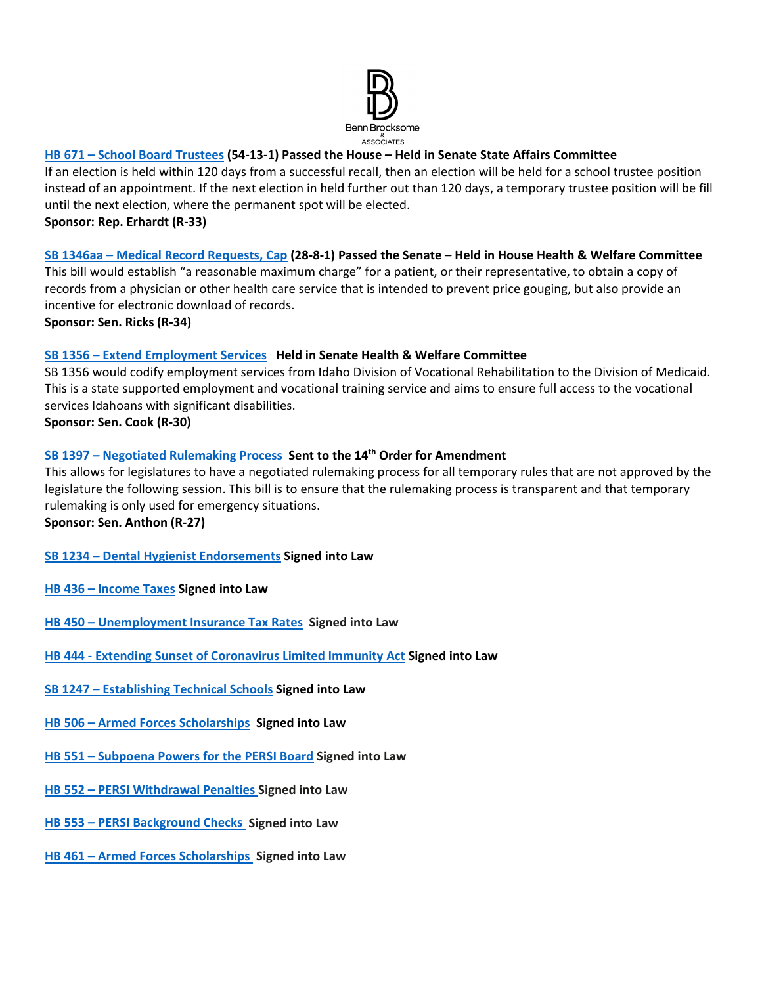

# **[HB 671 – School Board Trustees](https://legislature.idaho.gov/sessioninfo/2022/legislation/H0671/) (54-13-1) Passed the House – Held in Senate State Affairs Committee**

If an election is held within 120 days from a successful recall, then an election will be held for a school trustee position instead of an appointment. If the next election in held further out than 120 days, a temporary trustee position will be fill until the next election, where the permanent spot will be elected.

**Sponsor: Rep. Erhardt (R-33)** 

# **[SB 1346aa – Medical Record Requests, Cap](https://legislature.idaho.gov/sessioninfo/2022/legislation/S1346/) (28-8-1) Passed the Senate – Held in House Health & Welfare Committee**

This bill would establish "a reasonable maximum charge" for a patient, or their representative, to obtain a copy of records from a physician or other health care service that is intended to prevent price gouging, but also provide an incentive for electronic download of records.

**Sponsor: Sen. Ricks (R-34)**

# **[SB 1356 – Extend Employment Services](https://legislature.idaho.gov/sessioninfo/2022/legislation/S1356) Held in Senate Health & Welfare Committee**

SB 1356 would codify employment services from Idaho Division of Vocational Rehabilitation to the Division of Medicaid. This is a state supported employment and vocational training service and aims to ensure full access to the vocational services Idahoans with significant disabilities.

# **Sponsor: Sen. Cook (R-30)**

# **[SB 1397 – Negotiated Rulemaking Process](https://legislature.idaho.gov/sessioninfo/2022/legislation/S1397/) Sent to the 14th Order for Amendment**

This allows for legislatures to have a negotiated rulemaking process for all temporary rules that are not approved by the legislature the following session. This bill is to ensure that the rulemaking process is transparent and that temporary rulemaking is only used for emergency situations.

**Sponsor: Sen. Anthon (R-27)**

# **[SB 1234 – Dental Hygienist Endorsements](https://legislature.idaho.gov/sessioninfo/2022/legislation/S1234/) Signed into Law**

- **[HB 436 Income Taxes](https://legislature.idaho.gov/sessioninfo/2022/legislation/H0436/) Signed into Law**
- **[HB 450 Unemployment Insurance Tax Rates](https://legislature.idaho.gov/sessioninfo/2022/legislation/H0450/) Signed into Law**
- **[HB 444 Extending Sunset of Coronavirus Limited Immunity Act](https://legislature.idaho.gov/sessioninfo/2022/legislation/H0444/) Signed into Law**
- **[SB 1247 Establishing Technical Schools](https://legislature.idaho.gov/sessioninfo/2022/legislation/S1247/) Signed into Law**
- **[HB 506 Armed Forces Scholarships](https://legislature.idaho.gov/sessioninfo/2022/legislation/H0506/) Signed into Law**
- **[HB 551 Subpoena Powers for the PERSI Board](https://legislature.idaho.gov/sessioninfo/2022/legislation/H0551) Signed into Law**
- **[HB 552 PERSI Withdrawal Penalties](https://legislature.idaho.gov/sessioninfo/2022/legislation/H0552) Signed into Law**
- **[HB 553 PERSI Background Checks](https://legislature.idaho.gov/sessioninfo/2022/legislation/H0553) Signed into Law**
- **[HB 461 Armed Forces Scholarships](https://legislature.idaho.gov/sessioninfo/2022/legislation/H0461) Signed into Law**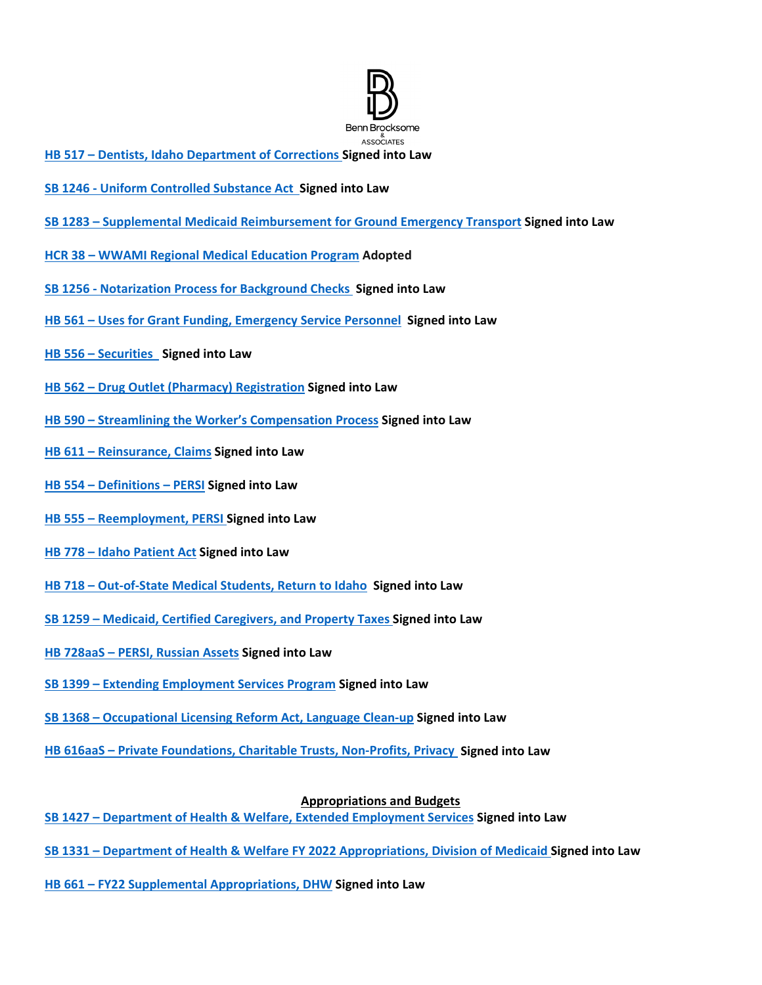

- **[HB 517 Dentists, Idaho Department of Corrections](https://legislature.idaho.gov/sessioninfo/2022/legislation/H0517/) Signed into Law**
- **[SB 1246 Uniform Controlled Substance Act](https://legislature.idaho.gov/sessioninfo/2022/legislation/S1246/) Signed into Law**
- **[SB 1283 Supplemental Medicaid Reimbursement for Ground Emergency Transport](https://legislature.idaho.gov/sessioninfo/2022/legislation/S1283/) Signed into Law**
- **[HCR 38 WWAMI Regional Medical Education Program](https://legislature.idaho.gov/sessioninfo/2022/legislation/HCR038/) Adopted**
- **[SB 1256 Notarization Process for Background Checks](https://legislature.idaho.gov/sessioninfo/2022/legislation/S1256/) Signed into Law**
- **HB 561 Uses for [Grant Funding, Emergency Service Personnel](https://legislature.idaho.gov/sessioninfo/2022/legislation/H0561) Signed into Law**
- **[HB 556 Securities](https://legislature.idaho.gov/sessioninfo/2022/legislation/H0556) Signed into Law**
- **[HB 562 Drug Outlet \(Pharmacy\) Registration](https://legislature.idaho.gov/sessioninfo/2022/legislation/H0562) Signed into Law**
- **[HB 590 Streamlining the Worker's Compensation Process](https://legislature.idaho.gov/sessioninfo/2022/legislation/H0590) Signed into Law**
- **[HB 611 Reinsurance, Claims](https://legislature.idaho.gov/sessioninfo/2022/legislation/H0611) Signed into Law**
- **[HB 554 Definitions PERSI](https://legislature.idaho.gov/sessioninfo/2022/legislation/H0554) Signed into Law**
- **[HB 555 Reemployment, PERSI](https://legislature.idaho.gov/sessioninfo/2022/legislation/H0555) Signed into Law**
- **[HB 778 Idaho Patient Act](https://legislature.idaho.gov/sessioninfo/2022/legislation/H0778/) Signed into Law**
- **[HB 718 Out-of-State Medical Students, Return to Idaho](https://legislature.idaho.gov/sessioninfo/2022/legislation/H0718/) Signed into Law**
- **[SB 1259 Medicaid, Certified Caregivers, and Property Taxes](https://legislature.idaho.gov/sessioninfo/2022/legislation/S1259/) Signed into Law**
- **[HB 728aaS PERSI, Russian Assets](https://legislature.idaho.gov/sessioninfo/2022/legislation/H0728/) Signed into Law**
- **[SB 1399 Extending Employment Services Program](https://legislature.idaho.gov/sessioninfo/2022/legislation/S1399/) Signed into Law**
- **[SB 1368 Occupational Licensing Reform Act, Language Clean-up](https://legislature.idaho.gov/sessioninfo/2022/legislation/S1368/) Signed into Law**
- **[HB 616aaS Private Foundations, Charitable Trusts, Non-Profits, Privacy](https://legislature.idaho.gov/sessioninfo/2022/legislation/H0616/) Signed into Law**

#### **Appropriations and Budgets**

- **[SB 1427 Department of Health & Welfare, Extended Employment Services](https://legislature.idaho.gov/sessioninfo/2022/legislation/S1427/) Signed into Law**
- **[SB 1331 Department of Health & Welfare FY 2022 Appropriations, Division of Medicaid](https://legislature.idaho.gov/sessioninfo/2022/legislation/S1331/) Signed into Law**
- **[HB 661 FY22 Supplemental Appropriations, DHW](https://legislature.idaho.gov/sessioninfo/2022/legislation/H0661/) Signed into Law**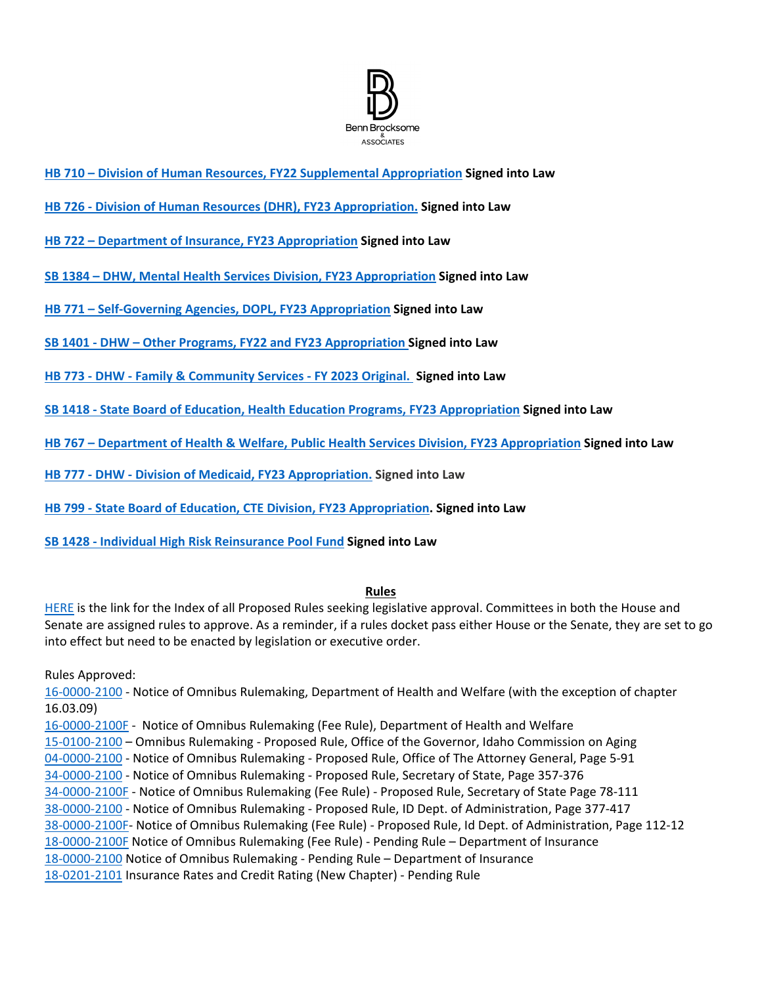

- **[HB 710 Division of Human Resources, FY22 Supplemental Appropriation](https://legislature.idaho.gov/sessioninfo/2022/legislation/H0710/) Signed into Law**
- **[HB 726 Division of Human Resources \(DHR\), FY23 Appropriation.](https://legislature.idaho.gov/sessioninfo/2022/legislation/H0726/) Signed into Law**
- **[HB 722 Department of Insurance, FY23 Appropriation](https://legislature.idaho.gov/sessioninfo/2022/legislation/H0722) Signed into Law**
- **[SB 1384 DHW, Mental Health Services Division, FY23 Appropriation](https://legislature.idaho.gov/sessioninfo/2022/legislation/S1384) Signed into Law**
- **[HB 771 Self-Governing Agencies, DOPL, FY23 Appropriation](https://legislature.idaho.gov/sessioninfo/2022/legislation/H0771/) Signed into Law**
- **[SB 1401 DHW Other Programs, FY22 and FY23 Appropriation](https://legislature.idaho.gov/sessioninfo/2022/legislation/S1401/) Signed into Law**
- **[HB 773 DHW Family & Community Services FY 2023 Original.](https://legislature.idaho.gov/sessioninfo/2022/legislation/H0773/) Signed into Law**
- **[SB 1418 State Board of Education, Health Education Programs, FY23 Appropriation](https://legislature.idaho.gov/sessioninfo/2022/legislation/S1418/) Signed into Law**
- **[HB 767 Department of Health & Welfare, Public Health Services Division, FY23 Appropriation](https://legislature.idaho.gov/sessioninfo/2022/legislation/H0767/) Signed into Law**
- **[HB 777 DHW Division of Medicaid, FY23 Appropriation.](https://legislature.idaho.gov/sessioninfo/2022/legislation/H0777/) Signed into Law**
- **[HB 799 State Board of Education, CTE Division, FY23 Appropriation.](https://legislature.idaho.gov/sessioninfo/2022/legislation/H0799/) Signed into Law**
- **[SB 1428 Individual High Risk Reinsurance Pool Fund](https://legislature.idaho.gov/sessioninfo/2022/legislation/S1428/) Signed into Law**

#### **Rules**

[HERE](https://adminrules.idaho.gov/rules/current/) is the link for the Index of all Proposed Rules seeking legislative approval. Committees in both the House and Senate are assigned rules to approve. As a reminder, if a rules docket pass either House or the Senate, they are set to go into effect but need to be enacted by legislation or executive order.

Rules Approved:

[16-0000-2100 -](https://adminrules.idaho.gov/legislative_books/2022/pending/22H_HealthWelfare.pdf#nameddest=G12.999219) Notice of Omnibus Rulemaking, Department of Health and Welfare (with the exception of chapter 16.03.09)

[16-0000-2100F -](https://adminrules.idaho.gov/legislative_books/2022/fee/22H_Fee_HW.pdf#nameddest=G4.999237) Notice of Omnibus Rulemaking (Fee Rule), Department of Health and Welfare [15-0100-2100 –](https://adminrules.idaho.gov/legislative_books/2022/pending/22H_HealthWelfare.pdf#nameddest=G4.999158) Omnibus Rulemaking - Proposed Rule, Office of the Governor, Idaho Commission on Aging [04-0000-2100 -](https://adminrules.idaho.gov/legislative_books/2022/pending/22S_StateAffs.pdf#nameddest=G4.999167) Notice of Omnibus Rulemaking - Proposed Rule, Office of The Attorney General, Page 5-91 [34-0000-2100 -](https://adminrules.idaho.gov/legislative_books/2022/pending/22S_StateAffs.pdf#nameddest=G17.999161) Notice of Omnibus Rulemaking - Proposed Rule, Secretary of State, Page 357-376 [34-0000-2100F -](https://adminrules.idaho.gov/legislative_books/2022/fee/22S_Fee_StateAffs.pdf#nameddest=G15.999174) Notice of Omnibus Rulemaking (Fee Rule) - Proposed Rule, Secretary of State Page 78-111 [38-0000-2100 -](https://adminrules.idaho.gov/legislative_books/2022/pending/22S_StateAffs.pdf#nameddest=G38.999154) Notice of Omnibus Rulemaking - Proposed Rule, ID Dept. of Administration, Page 377-417 [38-0000-2100F-](https://adminrules.idaho.gov/legislative_books/2022/fee/22S_Fee_StateAffs.pdf#nameddest=G20.999308) Notice of Omnibus Rulemaking (Fee Rule) - Proposed Rule, Id Dept. of Administration, Page 112-12 [18-0000-2100F](https://adminrules.idaho.gov/legislative_books/2022/fee/22H_FEE_Business.pdf#nameddest=G6.999167) Notice of Omnibus Rulemaking (Fee Rule) - Pending Rule - Department of Insurance [18-0000-2100](https://adminrules.idaho.gov/legislative_books/2022/pending/22H_Business.pdf#nameddest=G7.999199) Notice of Omnibus Rulemaking - Pending Rule – Department of Insurance [18-0201-2101](https://adminrules.idaho.gov/legislative_books/2022/pending/22H_Business.pdf#nameddest=G40.999284) Insurance Rates and Credit Rating (New Chapter) - Pending Rule